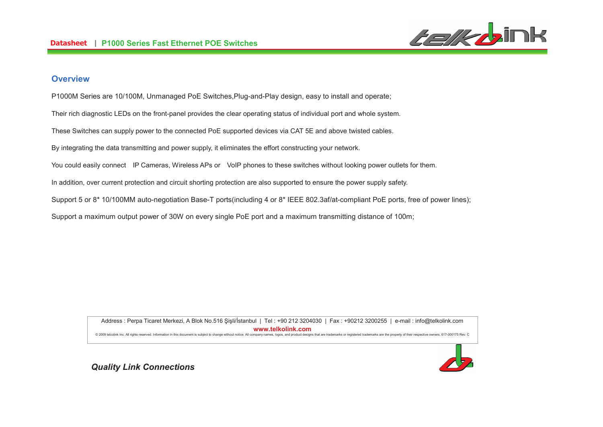

### **Overview**

P1000M Series are 10/100M, Unmanaged PoE Switches,Plug-and-Play design, easy to install and operate;

Their rich diagnostic LEDs on the front-panel provides the clear operating status of individual port and whole system.

These Switches can supply power to the connected PoE supported devices via CAT 5E and above twisted cables.

By integrating the data transmitting and power supply, it eliminates the effort constructing your network.

You could easily connect IP Cameras, Wireless APs or VoIP phones to these switches without looking power outlets for them.

In addition, over current protection and circuit shorting protection are also supported to ensure the power supply safety.

Support 5 or 8<sup>\*</sup> 10/100MM auto-negotiation Base-T ports(including 4 or 8<sup>\*</sup> IEEE 802.3af/at-compliant PoE ports, free of power lines);

Support a maximum output power of 30W on every single PoE port and a maximum transmitting distance of 100m;

Address : Perpa Ticaret Merkezi, A Blok No.516 Şişli/İstanbul | Tel : +90 212 3204030 | Fax : +90212 3200255 | e-mail : info@telkolink.com **%%%&-&'**@ 2009 telcolink Inc. All rights reserved. Information in this document is subject to change without notice. All company names, logos, and product designs that are trademarks or registered trademarks are the property of th



**Quality Link Connections**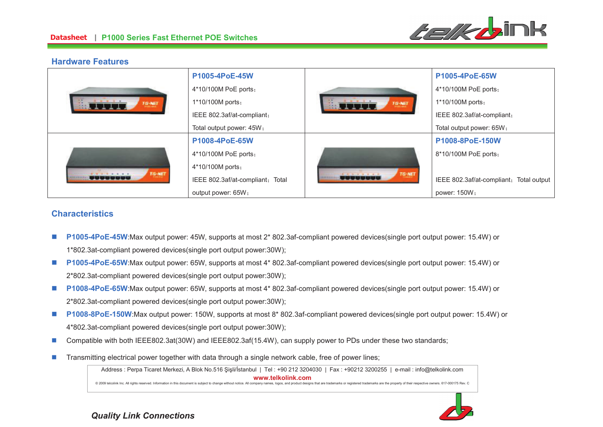

### **Hardware Features**

| $0 - 2 - 4 - 4 - 4$<br>TG-NET | P1005-4PoE-45W                   | .<br>TG-NET | P1005-4PoE-65W                             |
|-------------------------------|----------------------------------|-------------|--------------------------------------------|
|                               | 4*10/100M PoE ports;             |             | 4*10/100M PoE ports;                       |
|                               | 1*10/100M ports;                 |             | 1*10/100M ports;                           |
|                               | IEEE 802.3af/at-compliant;       |             | IEEE 802.3af/at-compliant;                 |
|                               | Total output power: 45W;         |             | Total output power: 65W;                   |
| TG-NET<br><u>öövvuose</u>     | P1008-4PoE-65W                   |             | P1008-8PoE-150W                            |
|                               | 4*10/100M PoE ports;             |             | 8*10/100M PoE ports;                       |
|                               | 4*10/100M ports;                 |             |                                            |
|                               | IEEE 802.3af/at-compliant; Total | TG-NET<br>- | IEEE 802.3af/at-compliant;<br>Total output |
|                               | output power: 65W;               |             | power: 150W;                               |

## **Characteristics**

- n **P1005-4PoE-45W**:Max output power: 45W, supports at most 2\* 802.3af-compliant powered devices(single port output power: 15.4W) or 1\*802.3at-compliant powered devices(single port output power:30W);
- n **P1005-4PoE-65W**:Max output power: 65W, supports at most 4\* 802.3af-compliant powered devices(single port output power: 15.4W) or 2\*802.3at-compliant powered devices(single port output power:30W);
- n **P1008-4PoE-65W**:Max output power: 65W, supports at most 4\* 802.3af-compliant powered devices(single port output power: 15.4W) or 2\*802.3at-compliant powered devices(single port output power:30W);
- n **P1008-8PoE-150W**:Max output power: 150W, supports at most 8\* 802.3af-compliant powered devices(single port output power: 15.4W) or 4\*802.3at-compliant powered devices(single port output power:30W);
- nCompatible with both IEEE802.3at(30W) and IEEE802.3af(15.4W), can supply power to PDs under these two standards;
- nTransmitting electrical power together with data through a single network cable, free of power lines;

Address : Perpa Ticaret Merkezi, A Blok No.516 Şişli/İstanbul | Tel : +90 212 3204030 | Fax : +90212 3200255 | e-mail : info@telkolink.com **%%%&-&'**@ 2009 telcolink Inc. All rights reserved. Information in this document is subject to change without notice. All company names, logos, and product designs that are trademarks or registered trademarks are the property of th



**Quality Link Connections**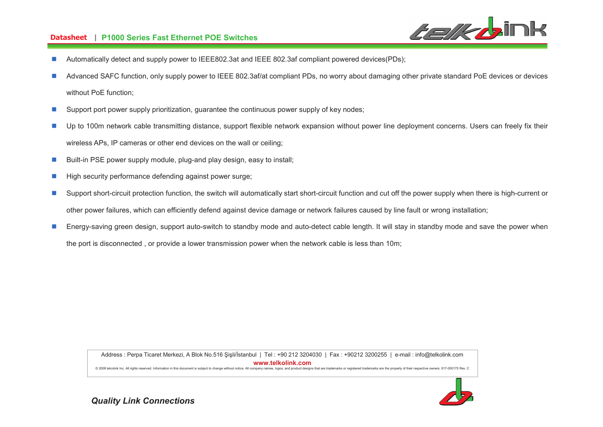#### **-- P1000 Series Fast Ethernet POE Switches**



- nAutomatically detect and supply power to IEEE802.3at and IEEE 802.3af compliant powered devices(PDs);
- n Advanced SAFC function, only supply power to IEEE 802.3af/at compliant PDs, no worry about damaging other private standard PoE devices or devices without PoE function;
- nSupport port power supply prioritization, guarantee the continuous power supply of key nodes;
- n Up to 100m network cable transmitting distance, support flexible network expansion without power line deployment concerns. Users can freely fix their wireless APs, IP cameras or other end devices on the wall or ceiling;
- nBuilt-in PSE power supply module, plug-and play design, easy to install;
- nHigh security performance defending against power surge;
- n Support short-circuit protection function, the switch will automatically start short-circuit function and cut off the power supply when there is high-current or other power failures, which can efficiently defend against device damage or network failures caused by line fault or wrong installation;
- n Energy-saving green design, support auto-switch to standby mode and auto-detect cable length. It will stay in standby mode and save the power when the port is disconnected , or provide a lower transmission power when the network cable is less than 10m;

Address : Perpa Ticaret Merkezi, A Blok No.516 Şişli/İstanbul | Tel : +90 212 3204030 | Fax : +90212 3200255 | e-mail : info@telkolink.com **%%%&-&'**© 2009 telcolink Inc. All rights reserved. Information in this document is subiect to change without notice. All company names, logos, and product designs that are trademarks or registered trademarks are the property of th

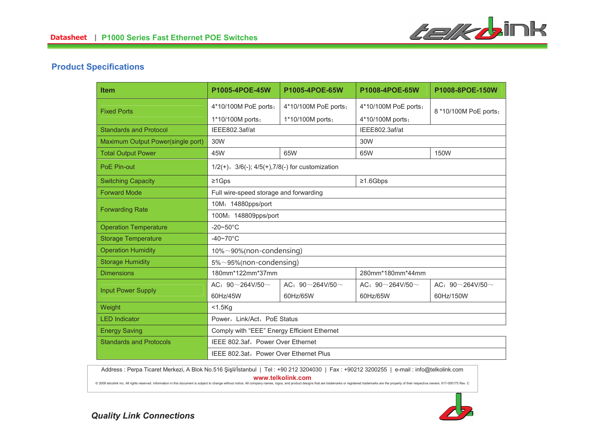

# **Product Specifications**

| <b>Item</b>                       | P1005-4POE-45W                                              | P1005-4POE-65W                | P1008-4POE-65W              | P1008-8POE-150W             |
|-----------------------------------|-------------------------------------------------------------|-------------------------------|-----------------------------|-----------------------------|
| <b>Fixed Ports</b>                | 4*10/100M PoE ports;                                        | 4*10/100M PoE ports;          | 4*10/100M PoE ports;        | 8 *10/100M PoE ports;       |
|                                   | 1*10/100M ports;                                            | 1*10/100M ports;              | 4*10/100M ports;            |                             |
| <b>Standards and Protocol</b>     | IEEE802.3af/at                                              |                               | IEEE802.3af/at              |                             |
| Maximum Output Power(single port) | 30W                                                         |                               | 30W                         |                             |
| <b>Total Output Power</b>         | 45W                                                         | 65W                           | 65W                         | <b>150W</b>                 |
| PoE Pin-out                       | $1/2(+)$ , $3/6(-)$ ; $4/5(+)$ , $7/8(-)$ for customization |                               |                             |                             |
| <b>Switching Capacity</b>         | $\geq 1$ Gps                                                |                               | $\geq 1.6$ Gbps             |                             |
| <b>Forward Mode</b>               | Full wire-speed storage and forwarding                      |                               |                             |                             |
|                                   | 10M: 14880pps/port                                          |                               |                             |                             |
| <b>Forwarding Rate</b>            | 100M: 148809pps/port                                        |                               |                             |                             |
| <b>Operation Temperature</b>      | $-20 \sim 50^{\circ}$ C                                     |                               |                             |                             |
| <b>Storage Temperature</b>        | $-40\neg 70^\circ C$                                        |                               |                             |                             |
| <b>Operation Humidity</b>         | $10\% \sim 90\%$ (non-condensing)                           |                               |                             |                             |
| <b>Storage Humidity</b>           | $5\% \sim 95\%$ (non-condensing)                            |                               |                             |                             |
| <b>Dimensions</b>                 | 180mm*122mm*37mm                                            |                               | 280mm*180mm*44mm            |                             |
| <b>Input Power Supply</b>         | AC: $90 \sim 264$ V/50 $\sim$                               | AC: $90^\sim 264$ V/50 $\sim$ | AC: $90 \sim 264 V/50 \sim$ | AC: $90 \sim 264 V/50 \sim$ |
|                                   | 60Hz/45W                                                    | 60Hz/65W                      | 60Hz/65W                    | 60Hz/150W                   |
| Weight                            | $<$ 1.5 $Kg$                                                |                               |                             |                             |
| <b>LED Indicator</b>              | Power, Link/Act, PoE Status                                 |                               |                             |                             |
| <b>Energy Saving</b>              | Comply with "EEE" Energy Efficient Ethernet                 |                               |                             |                             |
| <b>Standards and Protocols</b>    | IEEE 802.3af, Power Over Ethernet                           |                               |                             |                             |
|                                   | IEEE 802.3at, Power Over Ethernet Plus                      |                               |                             |                             |

Address : Perpa Ticaret Merkezi, A Blok No.516 Şişli/İstanbul | Tel : +90 212 3204030 | Fax : +90212 3200255 | e-mail : info@telkolink.com **%%%&-&'**

@ 2009 telcolink Inc. All rights reserved. Information in this document is subject to change without notice. All company names, logos, and product designs that are trademarks or registered trademarks are the property of th